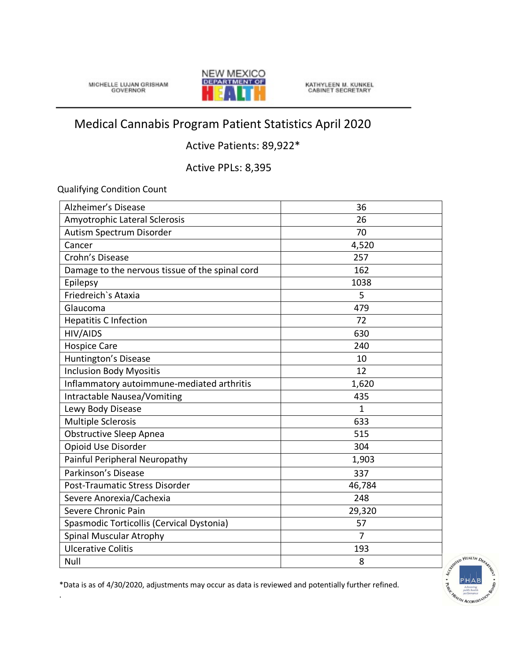MICHELLE LUJAN GRISHAM



KATHYLEEN M. KUNKEL<br>CABINET SECRETARY

## Medical Cannabis Program Patient Statistics April 2020

Active Patients: 89,922\*

Active PPLs: 8,395

Qualifying Condition Count

.

| Alzheimer's Disease                             | 36             |
|-------------------------------------------------|----------------|
| Amyotrophic Lateral Sclerosis                   | 26             |
| Autism Spectrum Disorder                        | 70             |
| Cancer                                          | 4,520          |
| Crohn's Disease                                 | 257            |
| Damage to the nervous tissue of the spinal cord | 162            |
| Epilepsy                                        | 1038           |
| Friedreich's Ataxia                             | 5              |
| Glaucoma                                        | 479            |
| <b>Hepatitis C Infection</b>                    | 72             |
| <b>HIV/AIDS</b>                                 | 630            |
| <b>Hospice Care</b>                             | 240            |
| Huntington's Disease                            | 10             |
| <b>Inclusion Body Myositis</b>                  | 12             |
| Inflammatory autoimmune-mediated arthritis      | 1,620          |
| Intractable Nausea/Vomiting                     | 435            |
| Lewy Body Disease                               | $\mathbf{1}$   |
| <b>Multiple Sclerosis</b>                       | 633            |
| <b>Obstructive Sleep Apnea</b>                  | 515            |
| Opioid Use Disorder                             | 304            |
| Painful Peripheral Neuropathy                   | 1,903          |
| Parkinson's Disease                             | 337            |
| Post-Traumatic Stress Disorder                  | 46,784         |
| Severe Anorexia/Cachexia                        | 248            |
| Severe Chronic Pain                             | 29,320         |
| Spasmodic Torticollis (Cervical Dystonia)       | 57             |
| <b>Spinal Muscular Atrophy</b>                  | $\overline{7}$ |
| <b>Ulcerative Colitis</b>                       | 193            |
| Null                                            | 8              |